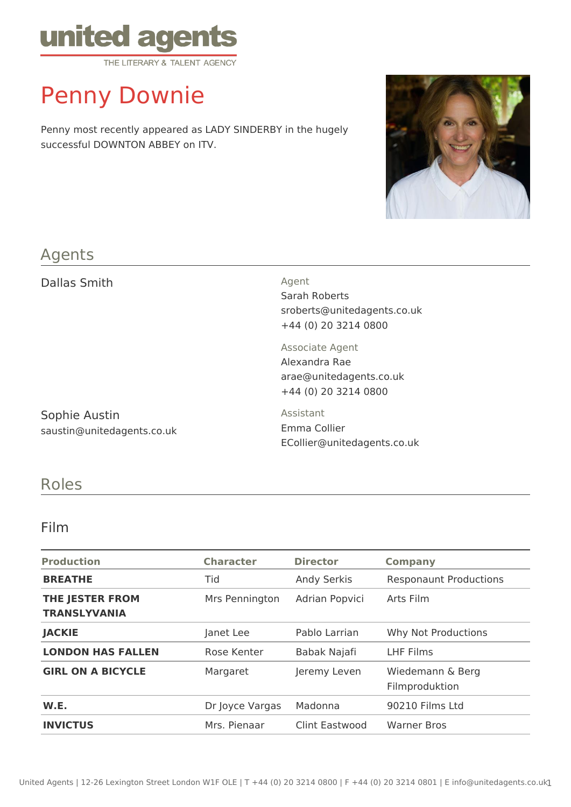

# Penny Downie

Penny most recently appeared as LADY SINDERBY in the hugely successful DOWNTON ABBEY on ITV.



### Agents

Dallas Smith Agent

Sarah Roberts sroberts@unitedagents.co.uk +44 (0) 20 3214 0800

Sophie Austin saustin@unitedagents.co.uk Associate Agent Alexandra Rae arae@unitedagents.co.uk +44 (0) 20 3214 0800

Assistant Emma Collier ECollier@unitedagents.co.uk

## Roles

#### Film

| <b>Production</b>                      | <b>Character</b> | <b>Director</b>    | <b>Company</b>                     |
|----------------------------------------|------------------|--------------------|------------------------------------|
| <b>BREATHE</b>                         | Tid              | <b>Andy Serkis</b> | <b>Responaunt Productions</b>      |
| THE JESTER FROM<br><b>TRANSLYVANIA</b> | Mrs Pennington   | Adrian Popvici     | Arts Film                          |
| <b>JACKIE</b>                          | Janet Lee        | Pablo Larrian      | Why Not Productions                |
| <b>LONDON HAS FALLEN</b>               | Rose Kenter      | Babak Najafi       | <b>LHF Films</b>                   |
| <b>GIRL ON A BICYCLE</b>               | Margaret         | Jeremy Leven       | Wiedemann & Berg<br>Filmproduktion |
| W.E.                                   | Dr Joyce Vargas  | Madonna            | 90210 Films Ltd                    |
| <b>INVICTUS</b>                        | Mrs. Pienaar     | Clint Eastwood     | <b>Warner Bros</b>                 |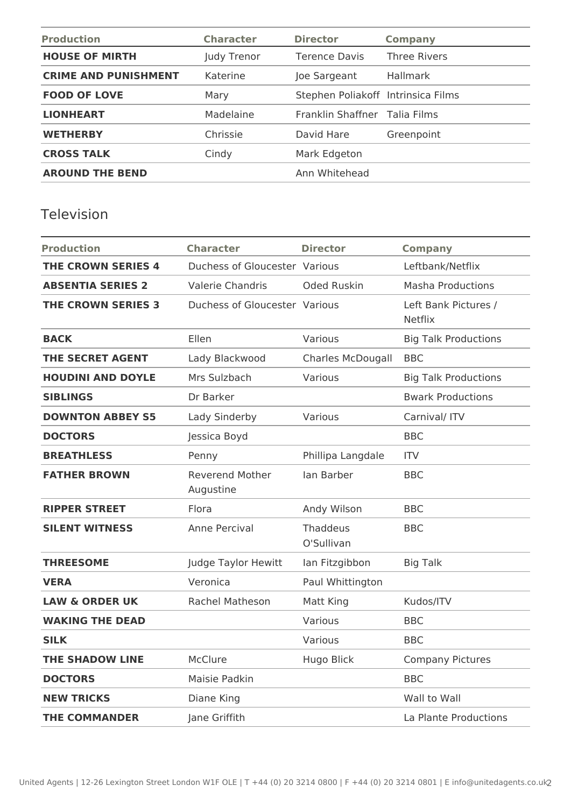| <b>Production</b>           | <b>Character</b> | <b>Director</b>                    | <b>Company</b>      |
|-----------------------------|------------------|------------------------------------|---------------------|
| <b>HOUSE OF MIRTH</b>       | Judy Trenor      | <b>Terence Davis</b>               | <b>Three Rivers</b> |
| <b>CRIME AND PUNISHMENT</b> | Katerine         | Joe Sargeant                       | <b>Hallmark</b>     |
| <b>FOOD OF LOVE</b>         | Mary             | Stephen Poliakoff Intrinsica Films |                     |
| <b>LIONHEART</b>            | Madelaine        | Franklin Shaffner Talia Films      |                     |
| <b>WETHERBY</b>             | Chrissie         | David Hare                         | Greenpoint          |
| <b>CROSS TALK</b>           | Cindy            | Mark Edgeton                       |                     |
| <b>AROUND THE BEND</b>      |                  | Ann Whitehead                      |                     |

## Television

| <b>Production</b>         | <b>Character</b>                    | <b>Director</b>               | <b>Company</b>                         |
|---------------------------|-------------------------------------|-------------------------------|----------------------------------------|
| <b>THE CROWN SERIES 4</b> | Duchess of Gloucester Various       |                               | Leftbank/Netflix                       |
| <b>ABSENTIA SERIES 2</b>  | Valerie Chandris                    | <b>Oded Ruskin</b>            | <b>Masha Productions</b>               |
| <b>THE CROWN SERIES 3</b> | Duchess of Gloucester Various       |                               | Left Bank Pictures /<br><b>Netflix</b> |
| <b>BACK</b>               | Ellen                               | Various                       | <b>Big Talk Productions</b>            |
| <b>THE SECRET AGENT</b>   | Lady Blackwood                      | <b>Charles McDougall</b>      | <b>BBC</b>                             |
| <b>HOUDINI AND DOYLE</b>  | Mrs Sulzbach                        | Various                       | <b>Big Talk Productions</b>            |
| <b>SIBLINGS</b>           | Dr Barker                           |                               | <b>Bwark Productions</b>               |
| <b>DOWNTON ABBEY S5</b>   | Lady Sinderby                       | Various                       | Carnival/ ITV                          |
| <b>DOCTORS</b>            | Jessica Boyd                        |                               | <b>BBC</b>                             |
| <b>BREATHLESS</b>         | Penny                               | Phillipa Langdale             | <b>ITV</b>                             |
| <b>FATHER BROWN</b>       | <b>Reverend Mother</b><br>Augustine | lan Barber                    | <b>BBC</b>                             |
| <b>RIPPER STREET</b>      | Flora                               | Andy Wilson                   | <b>BBC</b>                             |
| <b>SILENT WITNESS</b>     | Anne Percival                       | <b>Thaddeus</b><br>O'Sullivan | <b>BBC</b>                             |
| <b>THREESOME</b>          | Judge Taylor Hewitt                 | lan Fitzgibbon                | <b>Big Talk</b>                        |
| <b>VERA</b>               | Veronica                            | Paul Whittington              |                                        |
| <b>LAW &amp; ORDER UK</b> | Rachel Matheson                     | Matt King                     | Kudos/ITV                              |
| <b>WAKING THE DEAD</b>    |                                     | Various                       | <b>BBC</b>                             |
| <b>SILK</b>               |                                     | Various                       | <b>BBC</b>                             |
| <b>THE SHADOW LINE</b>    | McClure                             | Hugo Blick                    | <b>Company Pictures</b>                |
| <b>DOCTORS</b>            | Maisie Padkin                       |                               | <b>BBC</b>                             |
| <b>NEW TRICKS</b>         | Diane King                          |                               | Wall to Wall                           |
| <b>THE COMMANDER</b>      | Jane Griffith                       |                               | La Plante Productions                  |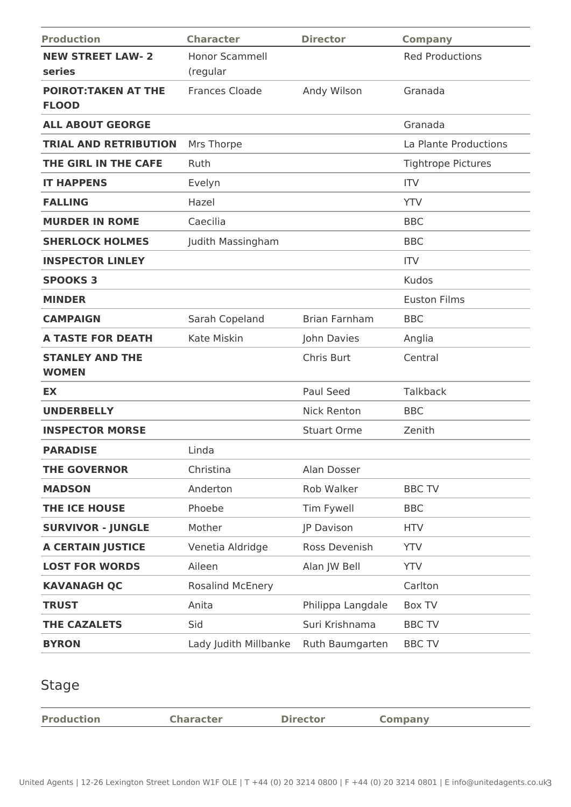| <b>Production</b>                           | <b>Character</b>                  | <b>Director</b>      | <b>Company</b>            |
|---------------------------------------------|-----------------------------------|----------------------|---------------------------|
| <b>NEW STREET LAW-2</b><br>series           | <b>Honor Scammell</b><br>(regular |                      | <b>Red Productions</b>    |
| <b>POIROT: TAKEN AT THE</b><br><b>FLOOD</b> | <b>Frances Cloade</b>             | Andy Wilson          | Granada                   |
| <b>ALL ABOUT GEORGE</b>                     |                                   |                      | Granada                   |
| <b>TRIAL AND RETRIBUTION</b>                | Mrs Thorpe                        |                      | La Plante Productions     |
| THE GIRL IN THE CAFE                        | Ruth                              |                      | <b>Tightrope Pictures</b> |
| <b>IT HAPPENS</b>                           | Evelyn                            |                      | <b>ITV</b>                |
| <b>FALLING</b>                              | Hazel                             |                      | <b>YTV</b>                |
| <b>MURDER IN ROME</b>                       | Caecilia                          |                      | <b>BBC</b>                |
| <b>SHERLOCK HOLMES</b>                      | Judith Massingham                 |                      | <b>BBC</b>                |
| <b>INSPECTOR LINLEY</b>                     |                                   |                      | <b>ITV</b>                |
| <b>SPOOKS 3</b>                             |                                   |                      | Kudos                     |
| <b>MINDER</b>                               |                                   |                      | <b>Euston Films</b>       |
| <b>CAMPAIGN</b>                             | Sarah Copeland                    | <b>Brian Farnham</b> | <b>BBC</b>                |
| <b>A TASTE FOR DEATH</b>                    | Kate Miskin                       | John Davies          | Anglia                    |
| <b>STANLEY AND THE</b><br><b>WOMEN</b>      |                                   | Chris Burt           | Central                   |
| EX                                          |                                   | Paul Seed            | Talkback                  |
| <b>UNDERBELLY</b>                           |                                   | <b>Nick Renton</b>   | <b>BBC</b>                |
| <b>INSPECTOR MORSE</b>                      |                                   | <b>Stuart Orme</b>   | Zenith                    |
| <b>PARADISE</b>                             | Linda                             |                      |                           |
| <b>THE GOVERNOR</b>                         | Christina                         | Alan Dosser          |                           |
| <b>MADSON</b>                               | Anderton                          | Rob Walker           | <b>BBC TV</b>             |
| THE ICE HOUSE                               | Phoebe                            | Tim Fywell           | <b>BBC</b>                |
| <b>SURVIVOR - JUNGLE</b>                    | Mother                            | JP Davison           | <b>HTV</b>                |
| <b>A CERTAIN JUSTICE</b>                    | Venetia Aldridge                  | Ross Devenish        | <b>YTV</b>                |
| <b>LOST FOR WORDS</b>                       | Aileen                            | Alan JW Bell         | <b>YTV</b>                |
| <b>KAVANAGH QC</b>                          | <b>Rosalind McEnery</b>           |                      | Carlton                   |
| <b>TRUST</b>                                | Anita                             | Philippa Langdale    | Box TV                    |
| <b>THE CAZALETS</b>                         | Sid                               | Suri Krishnama       | <b>BBC TV</b>             |
| <b>BYRON</b>                                | Lady Judith Millbanke             | Ruth Baumgarten      | <b>BBC TV</b>             |

## Stage

|  | <b>Production</b> | <b>Character</b> | <b>Director</b> | company |
|--|-------------------|------------------|-----------------|---------|
|--|-------------------|------------------|-----------------|---------|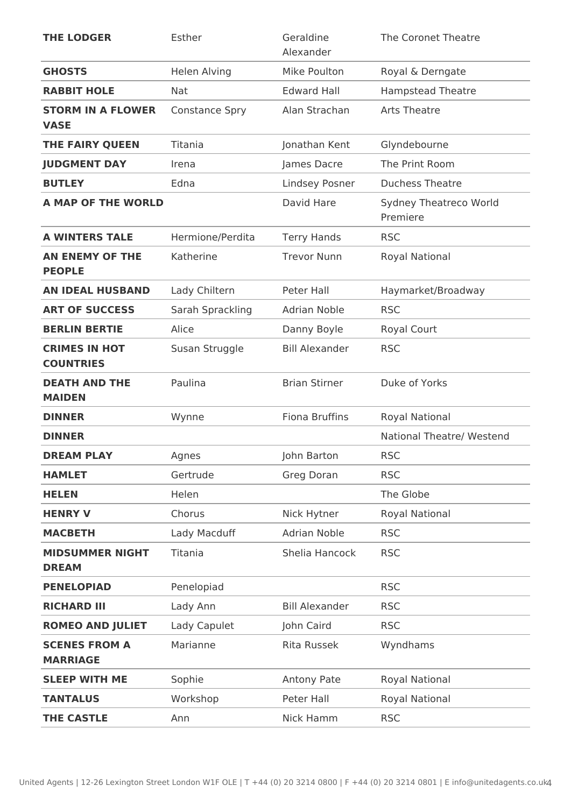| <b>THE LODGER</b>                        | Esther                | Geraldine<br>Alexander | The Coronet Theatre                |
|------------------------------------------|-----------------------|------------------------|------------------------------------|
| <b>GHOSTS</b>                            | <b>Helen Alving</b>   | Mike Poulton           | Royal & Derngate                   |
| <b>RABBIT HOLE</b>                       | Nat                   | <b>Edward Hall</b>     | <b>Hampstead Theatre</b>           |
| <b>STORM IN A FLOWER</b><br><b>VASE</b>  | <b>Constance Spry</b> | Alan Strachan          | <b>Arts Theatre</b>                |
| THE FAIRY QUEEN                          | Titania               | Jonathan Kent          | Glyndebourne                       |
| <b>JUDGMENT DAY</b>                      | Irena                 | James Dacre            | The Print Room                     |
| <b>BUTLEY</b>                            | Edna                  | <b>Lindsey Posner</b>  | <b>Duchess Theatre</b>             |
| <b>A MAP OF THE WORLD</b>                |                       | David Hare             | Sydney Theatreco World<br>Premiere |
| <b>A WINTERS TALE</b>                    | Hermione/Perdita      | <b>Terry Hands</b>     | <b>RSC</b>                         |
| <b>AN ENEMY OF THE</b><br><b>PEOPLE</b>  | Katherine             | <b>Trevor Nunn</b>     | <b>Royal National</b>              |
| <b>AN IDEAL HUSBAND</b>                  | Lady Chiltern         | Peter Hall             | Haymarket/Broadway                 |
| <b>ART OF SUCCESS</b>                    | Sarah Sprackling      | <b>Adrian Noble</b>    | <b>RSC</b>                         |
| <b>BERLIN BERTIE</b>                     | Alice                 | Danny Boyle            | Royal Court                        |
| <b>CRIMES IN HOT</b><br><b>COUNTRIES</b> | Susan Struggle        | <b>Bill Alexander</b>  | <b>RSC</b>                         |
| <b>DEATH AND THE</b><br><b>MAIDEN</b>    | Paulina               | <b>Brian Stirner</b>   | Duke of Yorks                      |
| <b>DINNER</b>                            | Wynne                 | <b>Fiona Bruffins</b>  | <b>Royal National</b>              |
| <b>DINNER</b>                            |                       |                        | National Theatre/ Westend          |
| <b>DREAM PLAY</b>                        | Agnes                 | John Barton            | <b>RSC</b>                         |
| <b>HAMLET</b>                            | Gertrude              | Greg Doran             | <b>RSC</b>                         |
| <b>HELEN</b>                             | Helen                 |                        | The Globe                          |
| <b>HENRY V</b>                           | Chorus                | Nick Hytner            | <b>Royal National</b>              |
| <b>MACBETH</b>                           | Lady Macduff          | <b>Adrian Noble</b>    | <b>RSC</b>                         |
| <b>MIDSUMMER NIGHT</b><br><b>DREAM</b>   | Titania               | Shelia Hancock         | <b>RSC</b>                         |
| <b>PENELOPIAD</b>                        | Penelopiad            |                        | <b>RSC</b>                         |
| <b>RICHARD III</b>                       | Lady Ann              | <b>Bill Alexander</b>  | <b>RSC</b>                         |
| <b>ROMEO AND JULIET</b>                  | Lady Capulet          | John Caird             | <b>RSC</b>                         |
| <b>SCENES FROM A</b><br><b>MARRIAGE</b>  | Marianne              | <b>Rita Russek</b>     | Wyndhams                           |
| <b>SLEEP WITH ME</b>                     | Sophie                | Antony Pate            | Royal National                     |
| <b>TANTALUS</b>                          | Workshop              | Peter Hall             | <b>Royal National</b>              |
| <b>THE CASTLE</b>                        | Ann                   | Nick Hamm              | <b>RSC</b>                         |